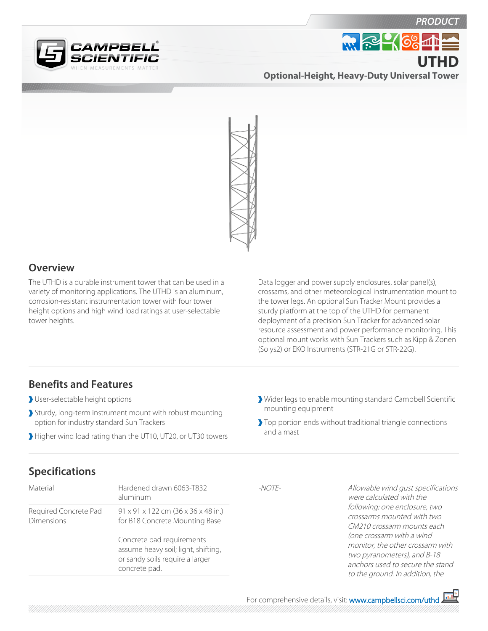

**Optional-Height, Heavy-Duty Universal Tower UTHD**

**MR 2-468-47** 

**PRODUC** 



## **Overview**

The UTHD is a durable instrument tower that can be used in a variety of monitoring applications. The UTHD is an aluminum, corrosion-resistant instrumentation tower with four tower height options and high wind load ratings at user-selectable tower heights.

Data logger and power supply enclosures, solar panel(s), crossams, and other meteorological instrumentation mount to the tower legs. An optional Sun Tracker Mount provides a sturdy platform at the top of the UTHD for permanent deployment of a precision Sun Tracker for advanced solar resource assessment and power performance monitoring. This optional mount works with Sun Trackers such as Kipp & Zonen (Solys2) or EKO Instruments (STR-21G or STR-22G).

## **Benefits and Features**

- User-selectable height options
- Sturdy, long-term instrument mount with robust mounting option for industry standard Sun Trackers
- Higher wind load rating than the UT10, UT20, or UT30 towers
- Wider legs to enable mounting standard Campbell Scientific mounting equipment
- Top portion ends without traditional triangle connections and a mast

## **Specifications**

| Material                                   | Hardened drawn 6063-T832<br>aluminum                                                                                                                                                          | $-NOTF-$ | Allowable wind qust specifications<br>were calculated with the                                                                                                                                                                                                   |
|--------------------------------------------|-----------------------------------------------------------------------------------------------------------------------------------------------------------------------------------------------|----------|------------------------------------------------------------------------------------------------------------------------------------------------------------------------------------------------------------------------------------------------------------------|
| Required Concrete Pad<br><b>Dimensions</b> | 91 x 91 x 122 cm (36 x 36 x 48 in.)<br>for B18 Concrete Mounting Base<br>Concrete pad requirements<br>assume heavy soil; light, shifting,<br>or sandy soils require a larger<br>concrete pad. |          | following: one enclosure, two<br>crossarms mounted with two<br>CM210 crossarm mounts each<br>(one crossarm with a wind<br>monitor, the other crossarm with<br>two pyranometers), and B-18<br>anchors used to secure the stand<br>to the ground. In addition, the |
|                                            |                                                                                                                                                                                               |          |                                                                                                                                                                                                                                                                  |